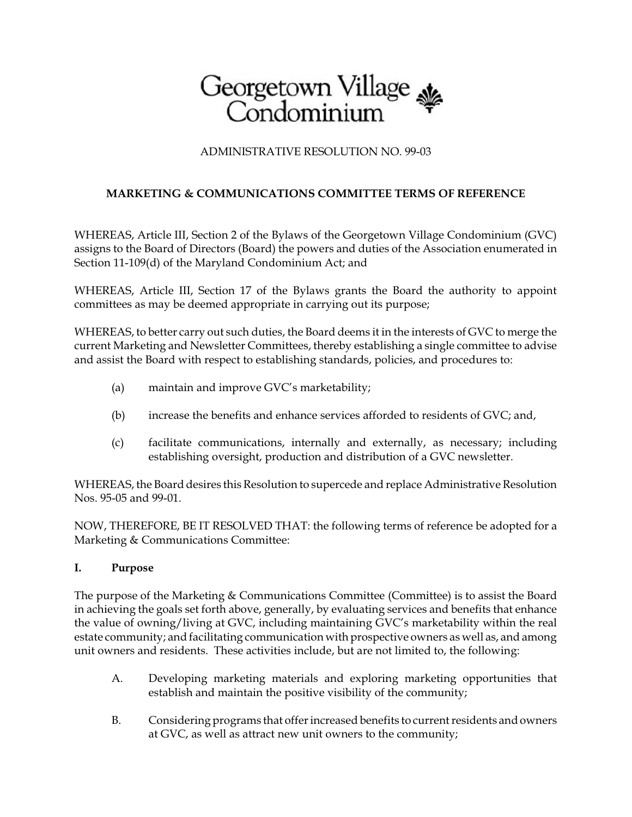

## ADMINISTRATIVE RESOLUTION NO. 99-03

# **MARKETING & COMMUNICATIONS COMMITTEE TERMS OF REFERENCE**

WHEREAS, Article III, Section 2 of the Bylaws of the Georgetown Village Condominium (GVC) assigns to the Board of Directors (Board) the powers and duties of the Association enumerated in Section 11-109(d) of the Maryland Condominium Act; and

WHEREAS, Article III, Section 17 of the Bylaws grants the Board the authority to appoint committees as may be deemed appropriate in carrying out its purpose;

WHEREAS, to better carry out such duties, the Board deems it in the interests of GVC to merge the current Marketing and Newsletter Committees, thereby establishing a single committee to advise and assist the Board with respect to establishing standards, policies, and procedures to:

- (a) maintain and improve GVC's marketability;
- (b) increase the benefits and enhance services afforded to residents of GVC; and,
- (c) facilitate communications, internally and externally, as necessary; including establishing oversight, production and distribution of a GVC newsletter.

WHEREAS, the Board desires this Resolution to supercede and replace Administrative Resolution Nos. 95-05 and 99-01.

NOW, THEREFORE, BE IT RESOLVED THAT: the following terms of reference be adopted for a Marketing & Communications Committee:

## **I. Purpose**

The purpose of the Marketing & Communications Committee (Committee) is to assist the Board in achieving the goals set forth above, generally, by evaluating services and benefits that enhance the value of owning/living at GVC, including maintaining GVC's marketability within the real estate community; and facilitating communication with prospective owners as well as, and among unit owners and residents. These activities include, but are not limited to, the following:

- A. Developing marketing materials and exploring marketing opportunities that establish and maintain the positive visibility of the community;
- B. Considering programs that offer increased benefits to current residents and owners at GVC, as well as attract new unit owners to the community;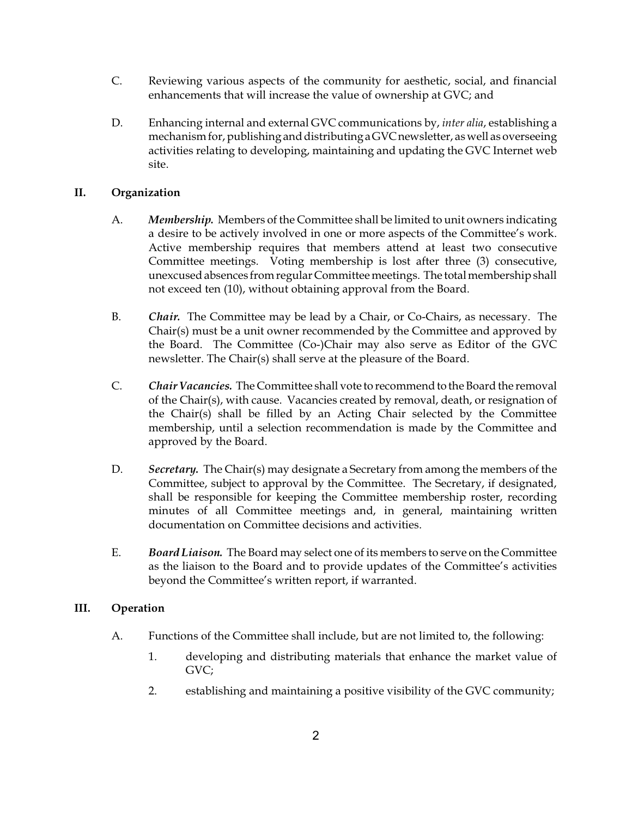- C. Reviewing various aspects of the community for aesthetic, social, and financial enhancements that will increase the value of ownership at GVC; and
- D. Enhancing internal and external GVC communications by, *inter alia*, establishing a mechanism for, publishing and distributinga GVCnewsletter, as well as overseeing activities relating to developing, maintaining and updating the GVC Internet web site.

### **II. Organization**

- A. *Membership.* Members of the Committee shall be limited to unit owners indicating a desire to be actively involved in one or more aspects of the Committee's work. Active membership requires that members attend at least two consecutive Committee meetings. Voting membership is lost after three (3) consecutive, unexcused absences from regular Committee meetings. The total membership shall not exceed ten (10), without obtaining approval from the Board.
- B. *Chair.* The Committee may be lead by a Chair, or Co-Chairs, as necessary. The Chair(s) must be a unit owner recommended by the Committee and approved by the Board. The Committee (Co-)Chair may also serve as Editor of the GVC newsletter. The Chair(s) shall serve at the pleasure of the Board.
- C. *Chair Vacancies.* The Committee shall vote to recommend to the Board the removal of the Chair(s), with cause. Vacancies created by removal, death, or resignation of the Chair(s) shall be filled by an Acting Chair selected by the Committee membership, until a selection recommendation is made by the Committee and approved by the Board.
- D. *Secretary.* The Chair(s) may designate a Secretary from among the members of the Committee, subject to approval by the Committee. The Secretary, if designated, shall be responsible for keeping the Committee membership roster, recording minutes of all Committee meetings and, in general, maintaining written documentation on Committee decisions and activities.
- E. *Board Liaison.* The Board may select one of its members to serve on the Committee as the liaison to the Board and to provide updates of the Committee's activities beyond the Committee's written report, if warranted.

### **III. Operation**

- A. Functions of the Committee shall include, but are not limited to, the following:
	- 1. developing and distributing materials that enhance the market value of GVC;
	- 2. establishing and maintaining a positive visibility of the GVC community;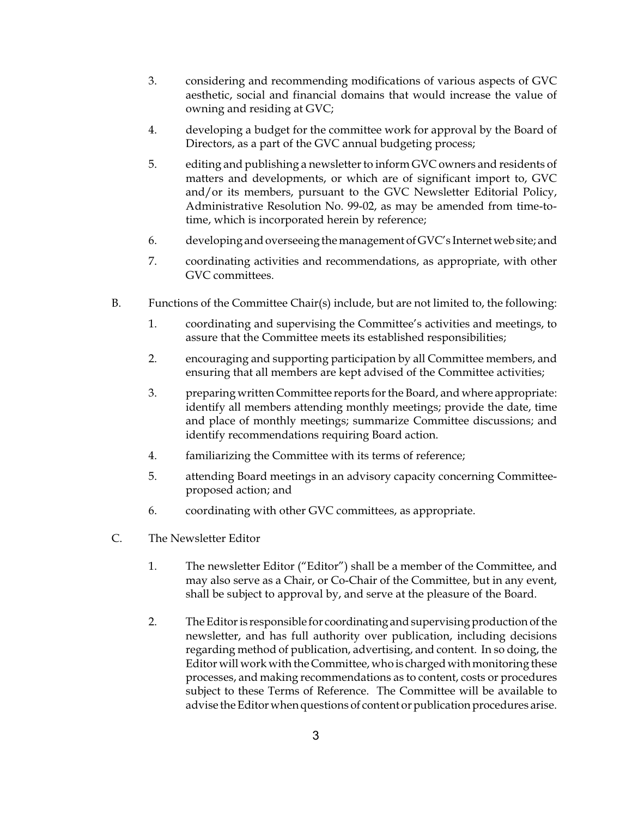- 3. considering and recommending modifications of various aspects of GVC aesthetic, social and financial domains that would increase the value of owning and residing at GVC;
- 4. developing a budget for the committee work for approval by the Board of Directors, as a part of the GVC annual budgeting process;
- 5. editing and publishing a newsletter to inform GVC owners and residents of matters and developments, or which are of significant import to, GVC and/or its members, pursuant to the GVC Newsletter Editorial Policy, Administrative Resolution No. 99-02, as may be amended from time-totime, which is incorporated herein by reference;
- 6. developing and overseeing the management of GVC's Internetweb site; and
- 7. coordinating activities and recommendations, as appropriate, with other GVC committees.
- B. Functions of the Committee Chair(s) include, but are not limited to, the following:
	- 1. coordinating and supervising the Committee's activities and meetings, to assure that the Committee meets its established responsibilities;
	- 2. encouraging and supporting participation by all Committee members, and ensuring that all members are kept advised of the Committee activities;
	- 3. preparing written Committee reports for the Board, and where appropriate: identify all members attending monthly meetings; provide the date, time and place of monthly meetings; summarize Committee discussions; and identify recommendations requiring Board action.
	- 4. familiarizing the Committee with its terms of reference;
	- 5. attending Board meetings in an advisory capacity concerning Committeeproposed action; and
	- 6. coordinating with other GVC committees, as appropriate.
- C. The Newsletter Editor
	- 1. The newsletter Editor ("Editor") shall be a member of the Committee, and may also serve as a Chair, or Co-Chair of the Committee, but in any event, shall be subject to approval by, and serve at the pleasure of the Board.
	- 2. The Editor is responsible for coordinating and supervising production of the newsletter, and has full authority over publication, including decisions regarding method of publication, advertising, and content. In so doing, the Editor will work with the Committee, who is charged with monitoring these processes, and making recommendations as to content, costs or procedures subject to these Terms of Reference. The Committee will be available to advise the Editor when questions of content or publication procedures arise.